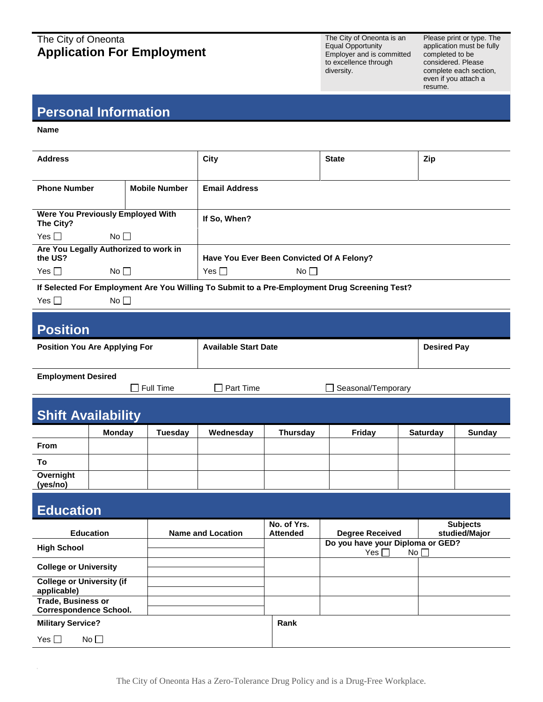### The City of Oneonta **Application For Employment**

The City of Oneonta is an Equal Opportunity Employer and is committed to excellence through diversity.

Please print or type. The application must be fully completed to be considered. Please complete each section, even if you attach a resume.

## **Personal Information**

**Name**

| <b>Address</b>                                                                                                                 |                      | City                                                                   | <b>State</b> | Zip |
|--------------------------------------------------------------------------------------------------------------------------------|----------------------|------------------------------------------------------------------------|--------------|-----|
| <b>Phone Number</b>                                                                                                            | <b>Mobile Number</b> | <b>Email Address</b>                                                   |              |     |
| Were You Previously Employed With<br>The City?                                                                                 |                      | If So, When?                                                           |              |     |
| Yes $\Box$<br>$No$ $\Box$                                                                                                      |                      |                                                                        |              |     |
| Are You Legally Authorized to work in<br>the US?<br>Yes $\square$<br>No                                                        |                      | Have You Ever Been Convicted Of A Felony?<br>Yes $\Box$<br>$No$ $\Box$ |              |     |
| If Selected For Employment Are You Willing To Submit to a Pre-Employment Drug Screening Test?<br>No <sub>1</sub><br>Yes $\Box$ |                      |                                                                        |              |     |

### **Position**

| <b>Position You Are Applying For</b> | <b>Available Start Date</b> | <b>Desired Pay</b> |
|--------------------------------------|-----------------------------|--------------------|
| <b>Employment Desired</b>            |                             |                    |

|  |  | <b>LUPIOTULE DESITED</b> |  |
|--|--|--------------------------|--|
|  |  |                          |  |

 $\Box$  Full Time  $\Box$  Part Time  $\Box$  Seasonal/Temporary

| <b>Shift Availability</b>  |               |                |           |          |        |                 |        |
|----------------------------|---------------|----------------|-----------|----------|--------|-----------------|--------|
|                            | <b>Monday</b> | <b>Tuesday</b> | Wednesday | Thursday | Friday | <b>Saturday</b> | Sunday |
| <b>From</b>                |               |                |           |          |        |                 |        |
| To                         |               |                |           |          |        |                 |        |
| Overnight<br>$\sim$ $\sim$ |               |                |           |          |        |                 |        |

**(yes/no)**

#### **Education Education Name and Location No. of Yrs. Attended Degree Received Subjects studied/Major High School Do you have your Diploma or GED?**  Yes  $\square$ **College or University College or University (if applicable) Trade, Business or Correspondence School. Military Service? Rank Rank**  $Yes \Box$  No  $\Box$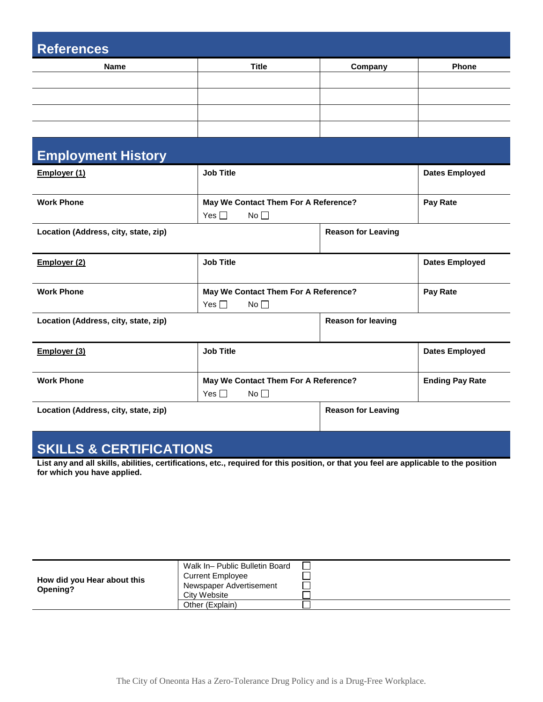| <b>References</b>                    |                                                             |                           |                        |  |
|--------------------------------------|-------------------------------------------------------------|---------------------------|------------------------|--|
| Name                                 | <b>Title</b>                                                | Company                   | <b>Phone</b>           |  |
|                                      |                                                             |                           |                        |  |
|                                      |                                                             |                           |                        |  |
|                                      |                                                             |                           |                        |  |
|                                      |                                                             |                           |                        |  |
| <b>Employment History</b>            |                                                             |                           |                        |  |
| Employer (1)                         | <b>Job Title</b>                                            |                           | <b>Dates Employed</b>  |  |
| <b>Work Phone</b>                    | May We Contact Them For A Reference?<br>Yes $\Box$<br>No    |                           | Pay Rate               |  |
| Location (Address, city, state, zip) |                                                             | <b>Reason for Leaving</b> |                        |  |
| Employer (2)                         | <b>Job Title</b>                                            |                           | <b>Dates Employed</b>  |  |
| <b>Work Phone</b>                    | May We Contact Them For A Reference?<br>Yes $\Box$<br>No    |                           | Pay Rate               |  |
| Location (Address, city, state, zip) |                                                             | <b>Reason for leaving</b> |                        |  |
| Employer (3)                         | <b>Job Title</b>                                            |                           | <b>Dates Employed</b>  |  |
| <b>Work Phone</b>                    | May We Contact Them For A Reference?<br>Yes $\square$<br>No |                           | <b>Ending Pay Rate</b> |  |
| Location (Address, city, state, zip) |                                                             | <b>Reason for Leaving</b> |                        |  |

# **SKILLS & CERTIFICATIONS**

**List any and all skills, abilities, certifications, etc., required for this position, or that you feel are applicable to the position for which you have applied.**

|                             | Walk In- Public Bulletin Board |  |
|-----------------------------|--------------------------------|--|
| How did you Hear about this | <b>Current Employee</b>        |  |
| Opening?                    | Newspaper Advertisement        |  |
|                             | City Website                   |  |
|                             | Other (Explain)                |  |